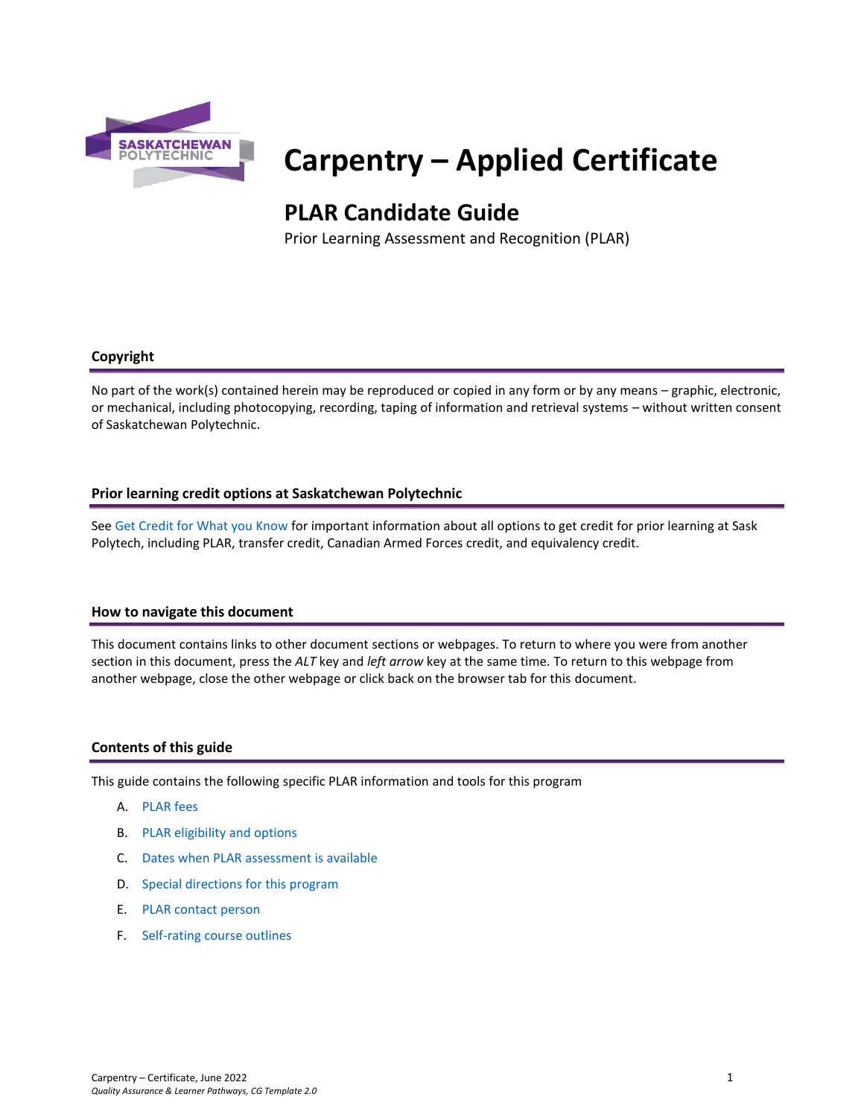

# **Carpentry – Applied Certificate**

# **PLAR Candidate Guide**

Prior Learning Assessment and Recognition (PLAR)

#### **Copyright**

No part of the work(s) contained herein may be reproduced or copied in any form or by any means – graphic, electronic, or mechanical, including photocopying, recording, taping of information and retrieval systems – without written consent of Saskatchewan Polytechnic.

#### **Prior learning credit options at Saskatchewan Polytechnic**

Se[e Get Credit for What you Know](https://saskpolytech.ca/admissions/get-credit/) for important information about all options to get credit for prior learning at Sask Polytech, including PLAR, transfer credit, Canadian Armed Forces credit, and equivalency credit.

#### **How to navigate this document**

This document contains links to other document sections or webpages. To return to where you were from another section in this document, press the *ALT* key and *left arrow* key at the same time. To return to this webpage from another webpage, close the other webpage or click back on the browser tab for this document.

#### **Contents of this guide**

This guide contains the following specific PLAR information and tools for this program

- A. [PLAR fees](#page-1-0)
- B. [PLAR eligibility and options](#page-1-1)
- C. [Dates when PLAR assessment is available](#page-1-2)
- D. [Special directions for this program](#page-1-3)
- E. PLAR [contact person](#page-2-0)
- F. [Self-rating course outlines](#page-2-1)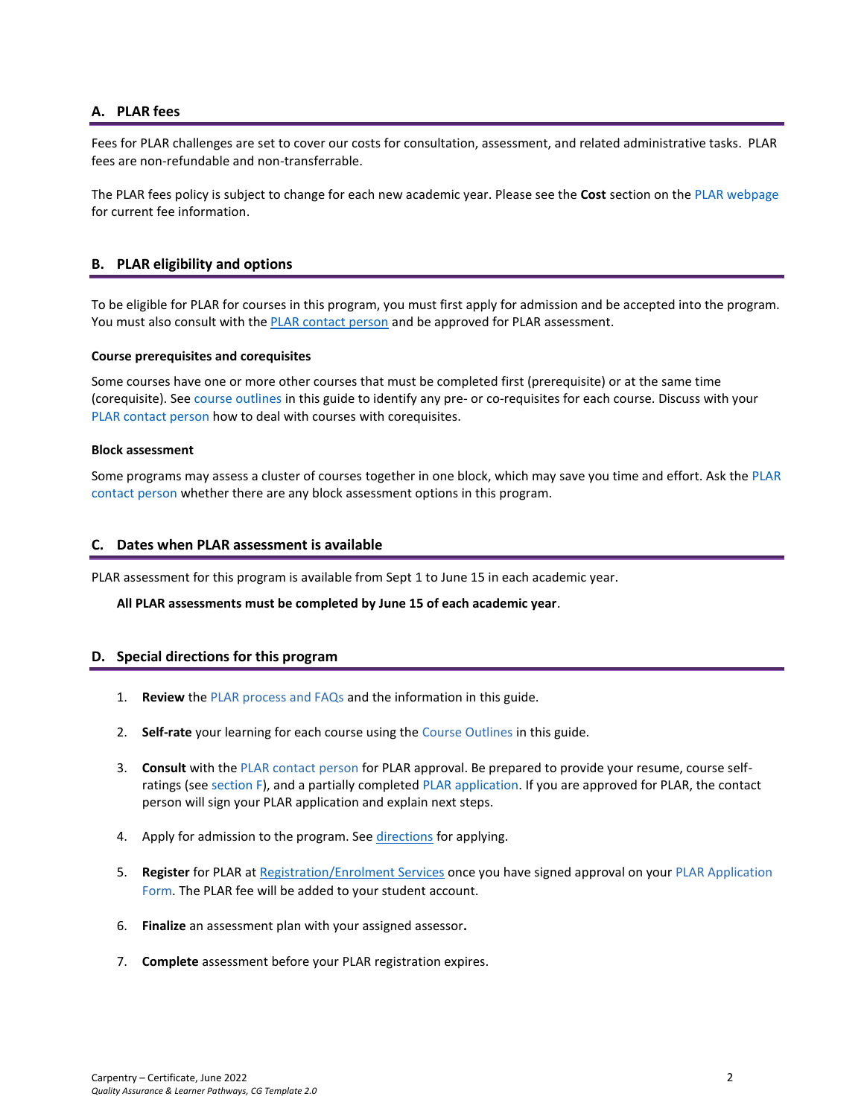#### <span id="page-1-0"></span>**A. PLAR fees**

Fees for PLAR challenges are set to cover our costs for consultation, assessment, and related administrative tasks. PLAR fees are non-refundable and non-transferrable.

<span id="page-1-1"></span>The PLAR fees policy is subject to change for each new academic year. Please see the **Cost** section on th[e PLAR webpage](https://saskpolytech.ca/admissions/get-credit/plar.aspx) for current fee information.

#### **B. PLAR eligibility and options**

To be eligible for PLAR for courses in this program, you must first apply for admission and be accepted into the program. You must also consult with th[e PLAR contact person](bookmark://PLAR_contact/) and be approved for PLAR assessment.

#### **Course prerequisites and corequisites**

Some courses have one or more other courses that must be completed first (prerequisite) or at the same time (corequisite). See course outlines in this guide to identify any pre- or co-requisites for each course. Discuss with your [PLAR contact person](#page-2-0) how to deal with courses with corequisites.

#### **Block assessment**

<span id="page-1-2"></span>Some programs may assess a cluster of courses together in one block, which may save you time and effort. Ask the [PLAR](#page-2-0)  [contact person](#page-2-0) whether there are any block assessment options in this program.

#### **C. Dates when PLAR assessment is available**

PLAR assessment for this program is available from Sept 1 to June 15 in each academic year.

#### <span id="page-1-3"></span>**All PLAR assessments must be completed by June 15 of each academic year**.

#### **D. Special directions for this program**

- 1. **Review** the [PLAR process and FAQs](https://saskpolytech.ca/admissions/get-credit/plar.aspx) and the information in this guide.
- 2. **Self-rate** your learning for each course using the Course Outlines in this guide.
- 3. **Consult** with th[e PLAR contact person](#page-2-0) for PLAR approval. Be prepared to provide your resume, course selfratings (see section F), and a partially completed [PLAR application.](https://saskpolytech.ca/admissions/resources/documents/plar-application-form.pdf) If you are approved for PLAR, the contact person will sign your PLAR application and explain next steps.
- 4. Apply for admission to the program. See [directions](#page-1-3) for applying.
- 5. **Register** for PLAR at [Registration/Enrolment Services](https://saskpolytech.ca/admissions/resources/contact-us.aspx) once you have signed approval on your [PLAR Application](http://saskpolytech.ca/admissions/resources/documents/plar-application-form.pdf)  [Form.](http://saskpolytech.ca/admissions/resources/documents/plar-application-form.pdf) The PLAR fee will be added to your student account.
- 6. **Finalize** an assessment plan with your assigned assessor**.**
- 7. **Complete** assessment before your PLAR registration expires.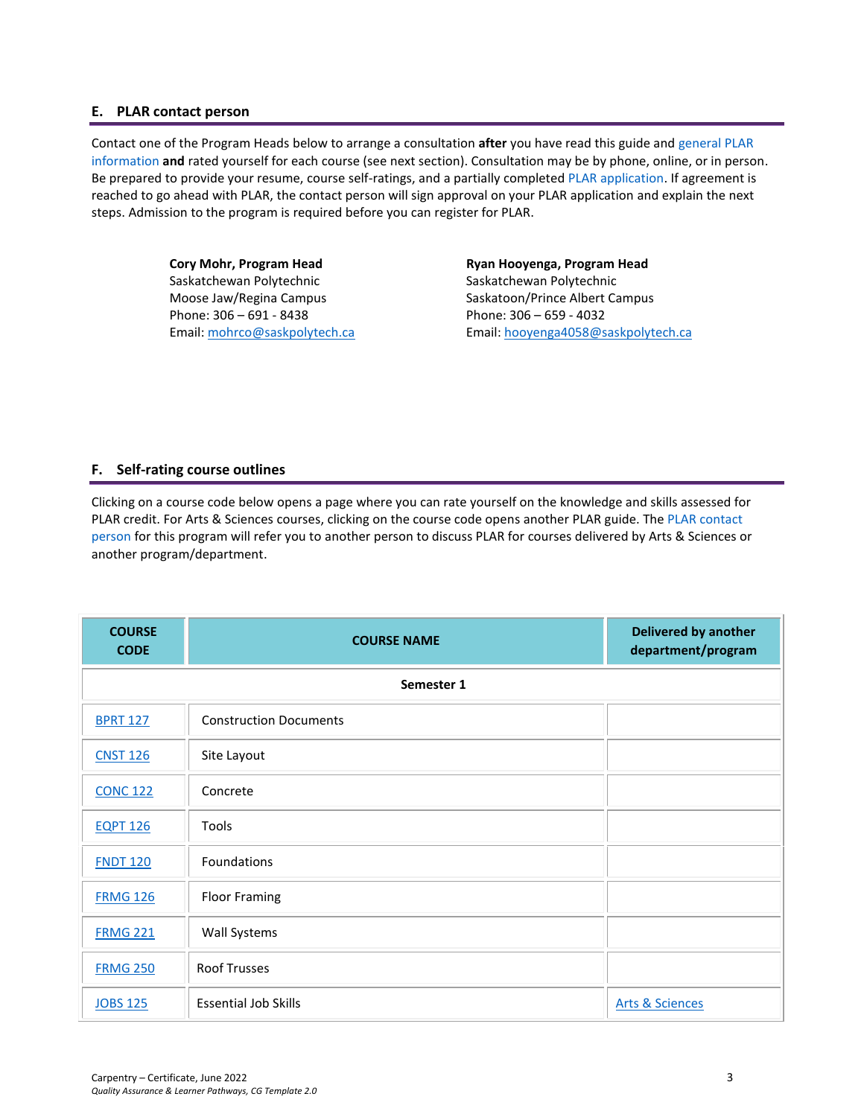#### <span id="page-2-0"></span>**E. PLAR contact person**

Contact one of the Program Heads below to arrange a consultation **after** you have read this guide and [general PLAR](http://saskpolytech.ca/admissions/resources/prior-learning-process.aspx)  [information](http://saskpolytech.ca/admissions/resources/prior-learning-process.aspx) **and** rated yourself for each course (see next section). Consultation may be by phone, online, or in person. Be prepared to provide your resume, course self-ratings, and a partially complete[d PLAR application.](https://saskpolytech.ca/admissions/resources/documents/plar-application-form.pdf#search=PLAR%20application) If agreement is reached to go ahead with PLAR, the contact person will sign approval on your PLAR application and explain the next steps. Admission to the program is required before you can register for PLAR.

> **Cory Mohr, Program Head** Saskatchewan Polytechnic Moose Jaw/Regina Campus Phone: 306 – 691 - 8438 Email[: mohrco@saskpolytech.ca](mailto:mohrco@saskpolytech.ca)

**Ryan Hooyenga, Program Head** Saskatchewan Polytechnic Saskatoon/Prince Albert Campus Phone: 306 – 659 - 4032 Email[: hooyenga4058@saskpolytech.ca](mailto:hooyenga4058@saskpolytech.ca)

## <span id="page-2-1"></span>**F. Self-rating course outlines**

Clicking on a course code below opens a page where you can rate yourself on the knowledge and skills assessed for PLAR credit. For Arts & Sciences courses, clicking on the course code opens another PLAR guide. The PLAR contact [person](#page-2-0) for this program will refer you to another person to discuss PLAR for courses delivered by Arts & Sciences or another program/department.

| <b>COURSE</b><br><b>CODE</b> | <b>COURSE NAME</b>            | <b>Delivered by another</b><br>department/program |  |  |  |  |  |  |
|------------------------------|-------------------------------|---------------------------------------------------|--|--|--|--|--|--|
|                              | Semester 1                    |                                                   |  |  |  |  |  |  |
| <b>BPRT 127</b>              | <b>Construction Documents</b> |                                                   |  |  |  |  |  |  |
| <b>CNST 126</b>              | Site Layout                   |                                                   |  |  |  |  |  |  |
| <b>CONC 122</b>              | Concrete                      |                                                   |  |  |  |  |  |  |
| <b>EQPT 126</b>              | <b>Tools</b>                  |                                                   |  |  |  |  |  |  |
| <b>FNDT 120</b>              | Foundations                   |                                                   |  |  |  |  |  |  |
| <b>FRMG 126</b>              | <b>Floor Framing</b>          |                                                   |  |  |  |  |  |  |
| <b>FRMG 221</b>              | <b>Wall Systems</b>           |                                                   |  |  |  |  |  |  |
| <b>FRMG 250</b>              | <b>Roof Trusses</b>           |                                                   |  |  |  |  |  |  |
| <b>JOBS 125</b>              | <b>Essential Job Skills</b>   | <b>Arts &amp; Sciences</b>                        |  |  |  |  |  |  |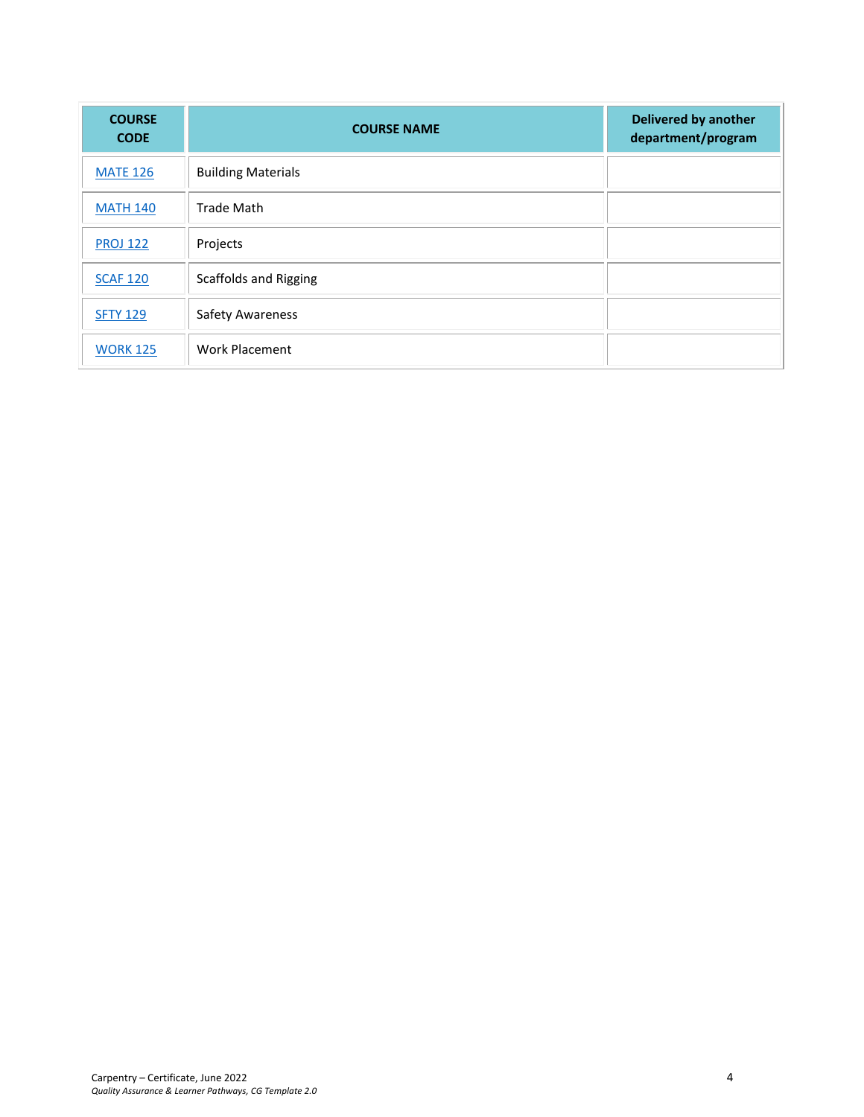| <b>COURSE</b><br><b>CODE</b> | <b>COURSE NAME</b>           | <b>Delivered by another</b><br>department/program |
|------------------------------|------------------------------|---------------------------------------------------|
| <b>MATE 126</b>              | <b>Building Materials</b>    |                                                   |
| <b>MATH 140</b>              | <b>Trade Math</b>            |                                                   |
| <b>PROJ 122</b>              | Projects                     |                                                   |
| <b>SCAF 120</b>              | <b>Scaffolds and Rigging</b> |                                                   |
| <b>SFTY 129</b>              | <b>Safety Awareness</b>      |                                                   |
| <b>WORK 125</b>              | Work Placement               |                                                   |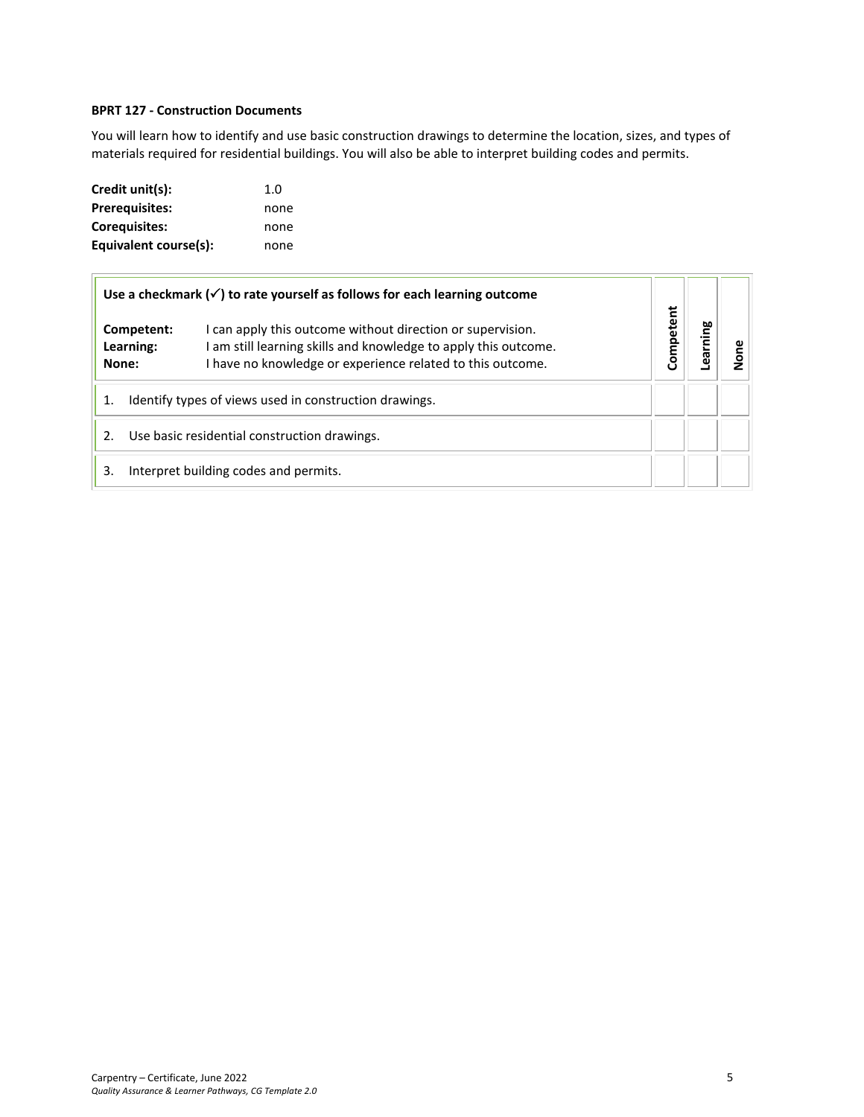#### <span id="page-4-0"></span>**BPRT 127 - Construction Documents**

You will learn how to identify and use basic construction drawings to determine the location, sizes, and types of materials required for residential buildings. You will also be able to interpret building codes and permits.

| Credit unit(s):       | 1.0  |
|-----------------------|------|
| <b>Prerequisites:</b> | none |
| <b>Corequisites:</b>  | none |
| Equivalent course(s): | none |

| Use a checkmark $(\checkmark)$ to rate yourself as follows for each learning outcome |            |                                                                                                                                                                                             |           |      |  |
|--------------------------------------------------------------------------------------|------------|---------------------------------------------------------------------------------------------------------------------------------------------------------------------------------------------|-----------|------|--|
| Learning:<br>None:                                                                   | Competent: | I can apply this outcome without direction or supervision.<br>I am still learning skills and knowledge to apply this outcome.<br>I have no knowledge or experience related to this outcome. | Competent | ning |  |
| Identify types of views used in construction drawings.                               |            |                                                                                                                                                                                             |           |      |  |
| Use basic residential construction drawings.<br>2.                                   |            |                                                                                                                                                                                             |           |      |  |
| 3.                                                                                   |            | Interpret building codes and permits.                                                                                                                                                       |           |      |  |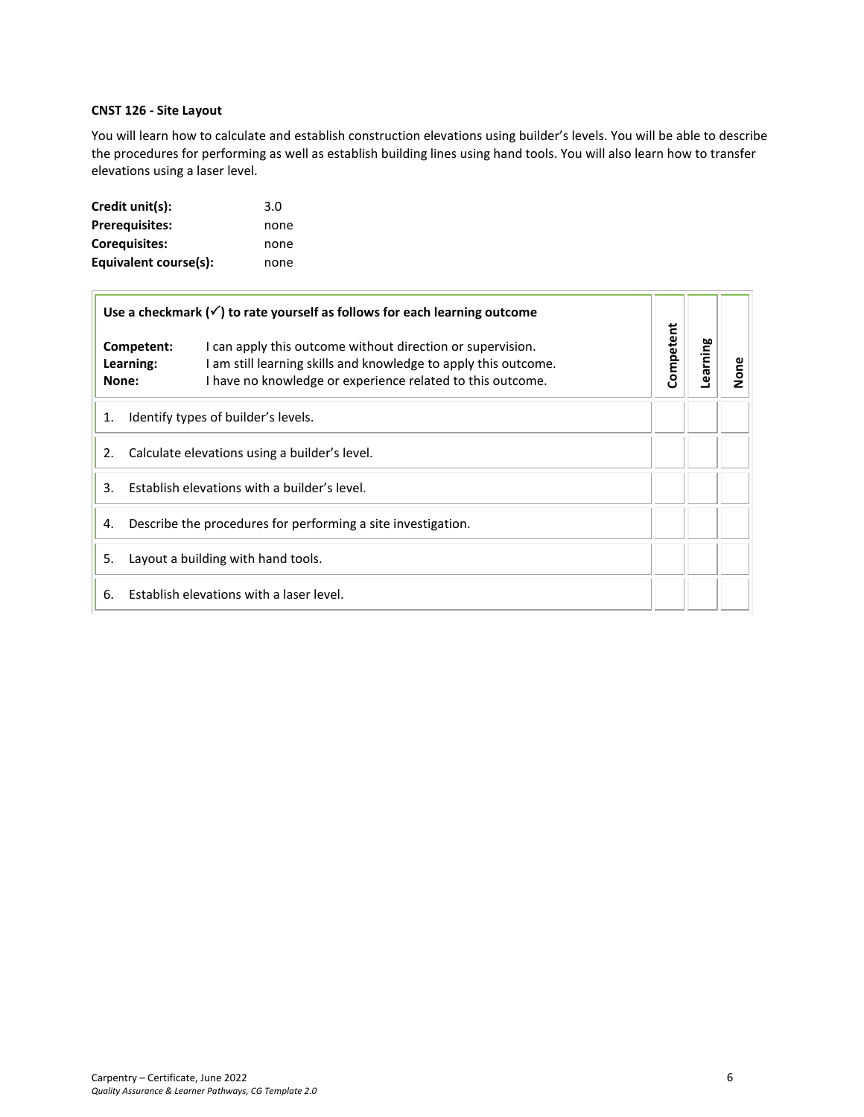#### <span id="page-5-0"></span>**CNST 126 - Site Layout**

You will learn how to calculate and establish construction elevations using builder's levels. You will be able to describe the procedures for performing as well as establish building lines using hand tools. You will also learn how to transfer elevations using a laser level.

| Credit unit(s):       | 3.0  |
|-----------------------|------|
| <b>Prerequisites:</b> | none |
| Corequisites:         | none |
| Equivalent course(s): | none |

| Use a checkmark $(\checkmark)$ to rate yourself as follows for each learning outcome |                                  |                                                                                                                                                                                             |           |          |      |
|--------------------------------------------------------------------------------------|----------------------------------|---------------------------------------------------------------------------------------------------------------------------------------------------------------------------------------------|-----------|----------|------|
|                                                                                      | Competent:<br>Learning:<br>None: | I can apply this outcome without direction or supervision.<br>I am still learning skills and knowledge to apply this outcome.<br>I have no knowledge or experience related to this outcome. | Competent | Learning | None |
| Identify types of builder's levels.<br>1.                                            |                                  |                                                                                                                                                                                             |           |          |      |
| Calculate elevations using a builder's level.<br>2.                                  |                                  |                                                                                                                                                                                             |           |          |      |
| Establish elevations with a builder's level.<br>3.                                   |                                  |                                                                                                                                                                                             |           |          |      |
| Describe the procedures for performing a site investigation.<br>4.                   |                                  |                                                                                                                                                                                             |           |          |      |
| 5.<br>Layout a building with hand tools.                                             |                                  |                                                                                                                                                                                             |           |          |      |
| 6.                                                                                   |                                  | Establish elevations with a laser level.                                                                                                                                                    |           |          |      |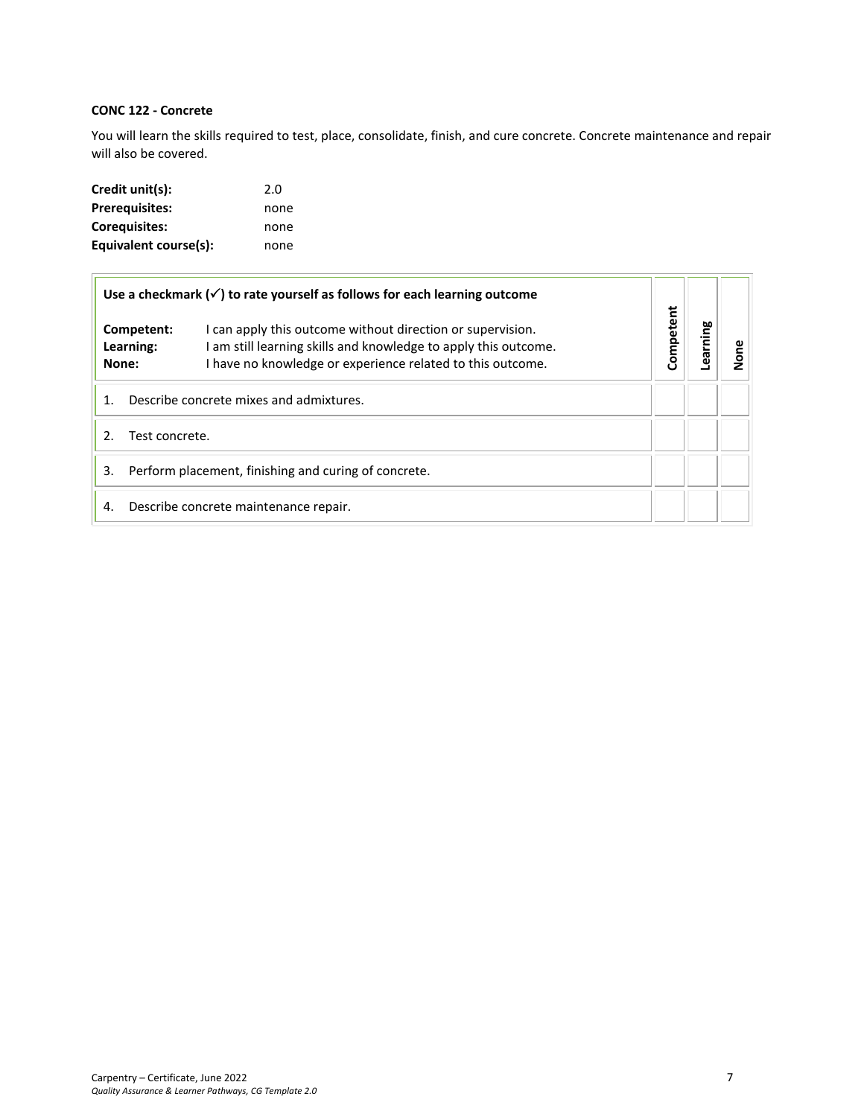# <span id="page-6-0"></span>**CONC 122 - Concrete**

You will learn the skills required to test, place, consolidate, finish, and cure concrete. Concrete maintenance and repair will also be covered.

| Credit unit(s):       | 2.0  |
|-----------------------|------|
| <b>Prerequisites:</b> | none |
| Corequisites:         | none |
| Equivalent course(s): | none |

| Use a checkmark $(\checkmark)$ to rate yourself as follows for each learning outcome |                                                                                                                                                                                             |           |         |      |
|--------------------------------------------------------------------------------------|---------------------------------------------------------------------------------------------------------------------------------------------------------------------------------------------|-----------|---------|------|
| Competent:<br>Learning:<br>None:                                                     | I can apply this outcome without direction or supervision.<br>I am still learning skills and knowledge to apply this outcome.<br>I have no knowledge or experience related to this outcome. | Competent | earning | None |
| Describe concrete mixes and admixtures.                                              |                                                                                                                                                                                             |           |         |      |
| $\mathcal{P}$<br>Test concrete.                                                      |                                                                                                                                                                                             |           |         |      |
| Perform placement, finishing and curing of concrete.<br>3.                           |                                                                                                                                                                                             |           |         |      |
| 4.                                                                                   | Describe concrete maintenance repair.                                                                                                                                                       |           |         |      |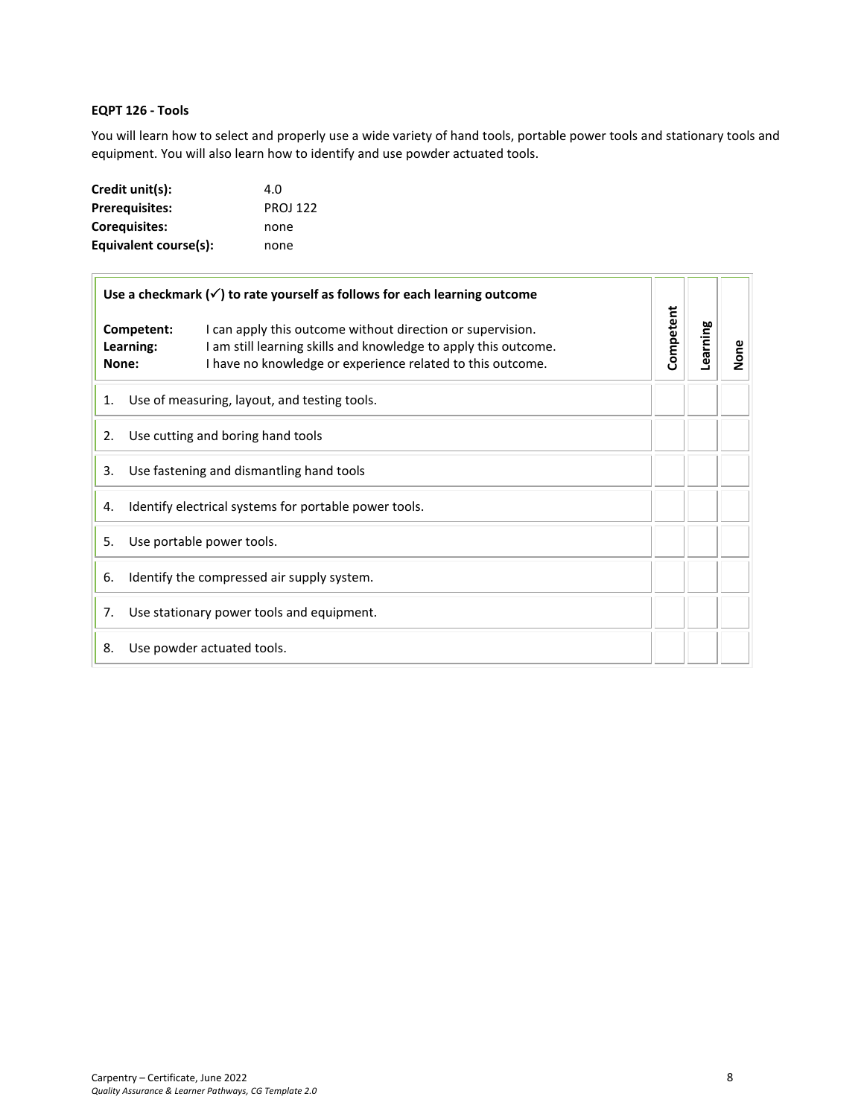# <span id="page-7-0"></span>**EQPT 126 - Tools**

You will learn how to select and properly use a wide variety of hand tools, portable power tools and stationary tools and equipment. You will also learn how to identify and use powder actuated tools.

| Credit unit(s):       | 4.0             |
|-----------------------|-----------------|
| <b>Prerequisites:</b> | <b>PROJ 122</b> |
| <b>Corequisites:</b>  | none            |
| Equivalent course(s): | none            |

| Use a checkmark $(\checkmark)$ to rate yourself as follows for each learning outcome |                                                                                                                                                                                                                                 |                                              |           |          |      |
|--------------------------------------------------------------------------------------|---------------------------------------------------------------------------------------------------------------------------------------------------------------------------------------------------------------------------------|----------------------------------------------|-----------|----------|------|
|                                                                                      | Competent:<br>I can apply this outcome without direction or supervision.<br>I am still learning skills and knowledge to apply this outcome.<br>Learning:<br>I have no knowledge or experience related to this outcome.<br>None: |                                              | Competent | Learning | None |
| 1.                                                                                   |                                                                                                                                                                                                                                 | Use of measuring, layout, and testing tools. |           |          |      |
| 2.                                                                                   |                                                                                                                                                                                                                                 | Use cutting and boring hand tools            |           |          |      |
| Use fastening and dismantling hand tools<br>3.                                       |                                                                                                                                                                                                                                 |                                              |           |          |      |
| Identify electrical systems for portable power tools.<br>4.                          |                                                                                                                                                                                                                                 |                                              |           |          |      |
| Use portable power tools.<br>5.                                                      |                                                                                                                                                                                                                                 |                                              |           |          |      |
| 6.                                                                                   | Identify the compressed air supply system.                                                                                                                                                                                      |                                              |           |          |      |
| 7.                                                                                   | Use stationary power tools and equipment.                                                                                                                                                                                       |                                              |           |          |      |
| 8.                                                                                   |                                                                                                                                                                                                                                 | Use powder actuated tools.                   |           |          |      |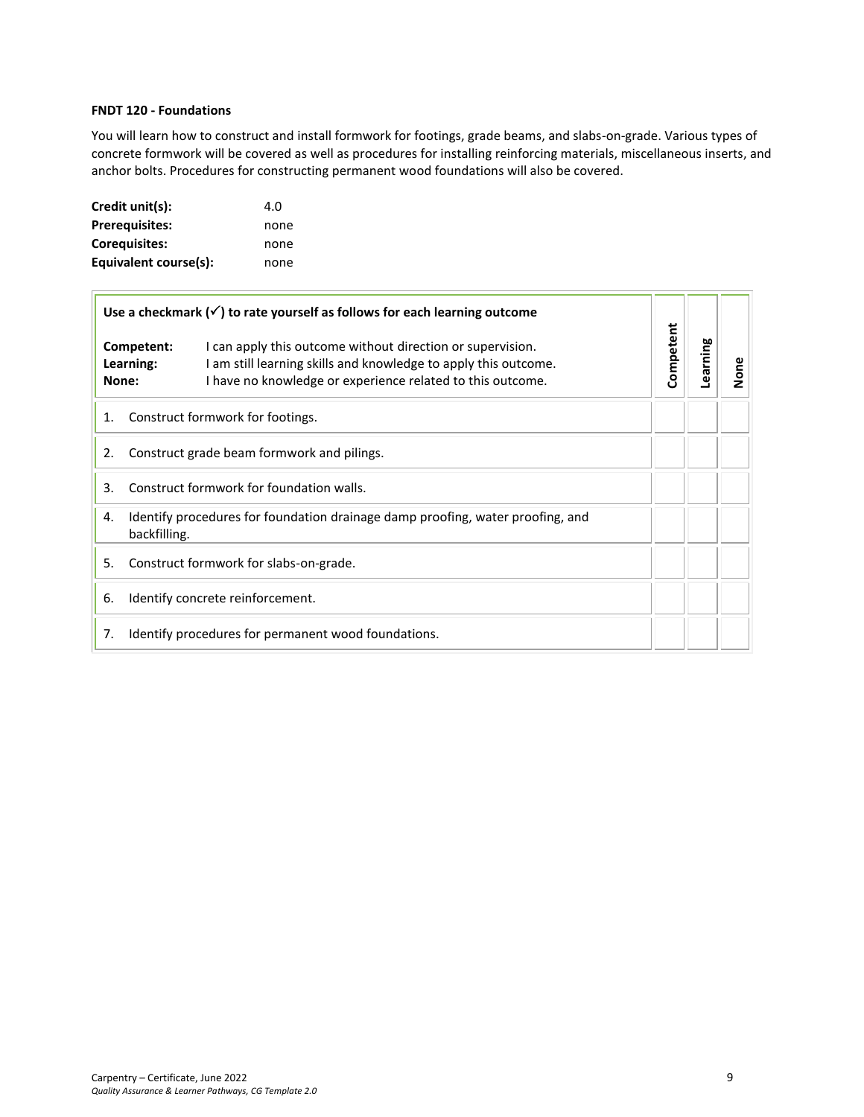#### <span id="page-8-0"></span>**FNDT 120 - Foundations**

You will learn how to construct and install formwork for footings, grade beams, and slabs-on-grade. Various types of concrete formwork will be covered as well as procedures for installing reinforcing materials, miscellaneous inserts, and anchor bolts. Procedures for constructing permanent wood foundations will also be covered.

| Credit unit(s):       | 4.O  |
|-----------------------|------|
| <b>Prerequisites:</b> | none |
| <b>Corequisites:</b>  | none |
| Equivalent course(s): | none |

| Use a checkmark $(\checkmark)$ to rate yourself as follows for each learning outcome |                                                                                                |                                                                                                                                                                                             |           |          |      |
|--------------------------------------------------------------------------------------|------------------------------------------------------------------------------------------------|---------------------------------------------------------------------------------------------------------------------------------------------------------------------------------------------|-----------|----------|------|
| Competent:<br>Learning:<br>None:                                                     |                                                                                                | I can apply this outcome without direction or supervision.<br>I am still learning skills and knowledge to apply this outcome.<br>I have no knowledge or experience related to this outcome. | Competent | Learning | None |
| 1.                                                                                   |                                                                                                | Construct formwork for footings.                                                                                                                                                            |           |          |      |
| 2.                                                                                   | Construct grade beam formwork and pilings.                                                     |                                                                                                                                                                                             |           |          |      |
| Construct formwork for foundation walls.<br>3.                                       |                                                                                                |                                                                                                                                                                                             |           |          |      |
| 4.                                                                                   | Identify procedures for foundation drainage damp proofing, water proofing, and<br>backfilling. |                                                                                                                                                                                             |           |          |      |
| 5.                                                                                   | Construct formwork for slabs-on-grade.                                                         |                                                                                                                                                                                             |           |          |      |
| 6.                                                                                   | Identify concrete reinforcement.                                                               |                                                                                                                                                                                             |           |          |      |
| 7.                                                                                   |                                                                                                | Identify procedures for permanent wood foundations.                                                                                                                                         |           |          |      |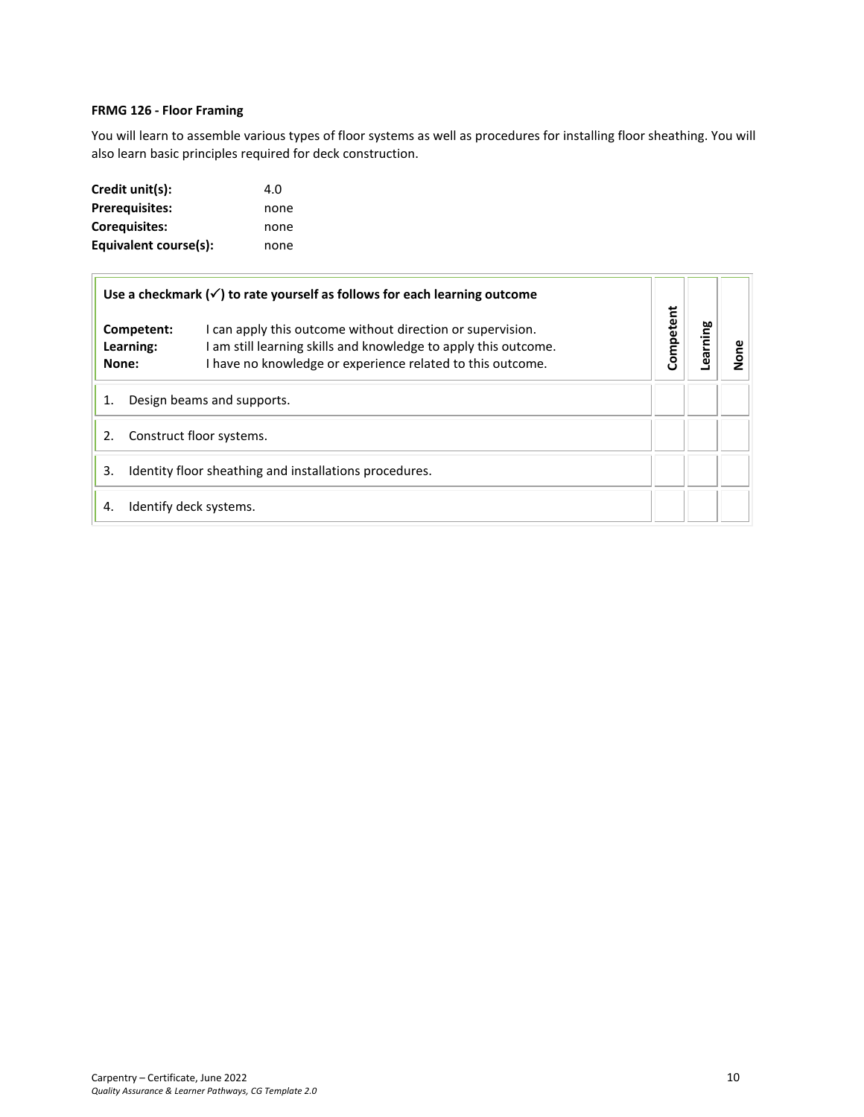#### <span id="page-9-0"></span>**FRMG 126 - Floor Framing**

You will learn to assemble various types of floor systems as well as procedures for installing floor sheathing. You will also learn basic principles required for deck construction.

| Credit unit(s):       | 4.O  |
|-----------------------|------|
| <b>Prerequisites:</b> | none |
| Coreguisites:         | none |
| Equivalent course(s): | none |

<span id="page-9-1"></span>

|                                                              | Use a checkmark $(\checkmark)$ to rate yourself as follows for each learning outcome                                                                                                        |           |         |      |
|--------------------------------------------------------------|---------------------------------------------------------------------------------------------------------------------------------------------------------------------------------------------|-----------|---------|------|
| Competent:<br>Learning:<br>None:                             | I can apply this outcome without direction or supervision.<br>I am still learning skills and knowledge to apply this outcome.<br>I have no knowledge or experience related to this outcome. | Competent | earning | None |
|                                                              | Design beams and supports.                                                                                                                                                                  |           |         |      |
| Construct floor systems.                                     |                                                                                                                                                                                             |           |         |      |
| Identity floor sheathing and installations procedures.<br>3. |                                                                                                                                                                                             |           |         |      |
| 4.                                                           | Identify deck systems.                                                                                                                                                                      |           |         |      |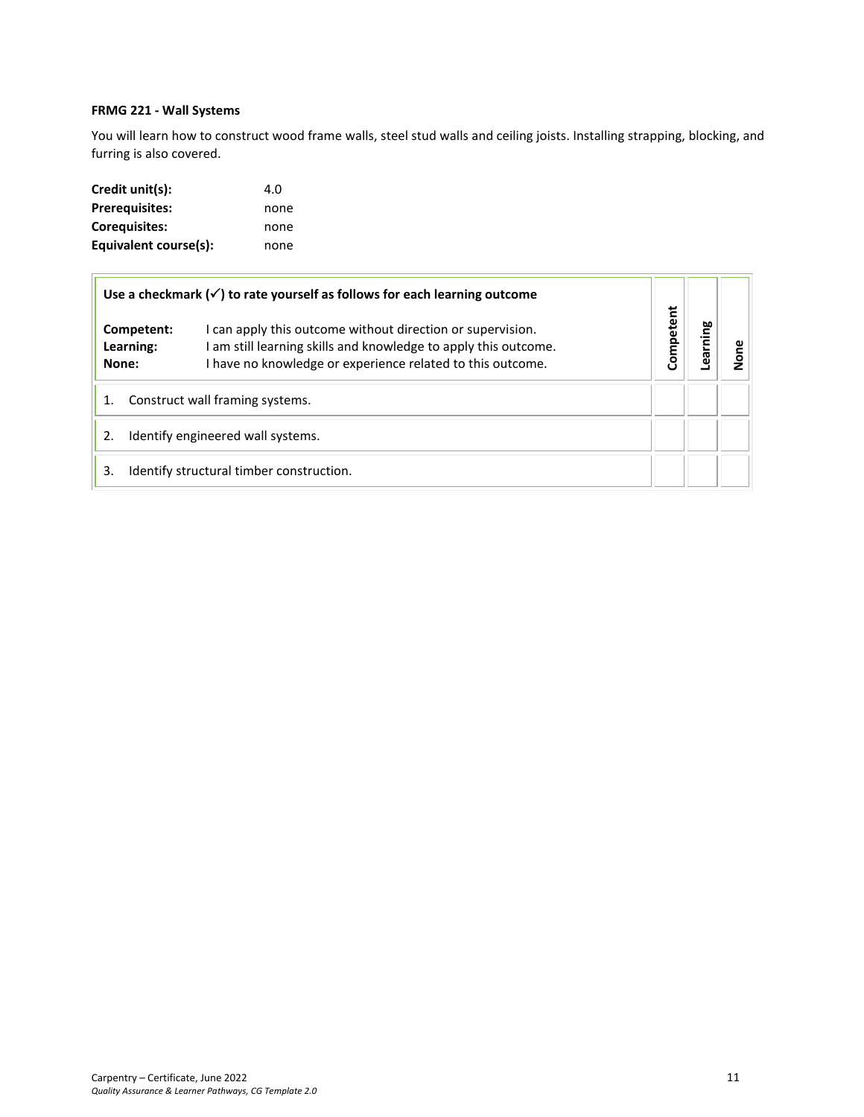# <span id="page-10-0"></span>**FRMG 221 - Wall Systems**

You will learn how to construct wood frame walls, steel stud walls and ceiling joists. Installing strapping, blocking, and furring is also covered.

| Credit unit(s):       | 4.O  |
|-----------------------|------|
| <b>Prerequisites:</b> | none |
| Coreguisites:         | none |
| Equivalent course(s): | none |

|                                         | Use a checkmark $(\checkmark)$ to rate yourself as follows for each learning outcome                                                                                                        |           |        |  |
|-----------------------------------------|---------------------------------------------------------------------------------------------------------------------------------------------------------------------------------------------|-----------|--------|--|
| Competent:<br>Learning:<br>None:        | I can apply this outcome without direction or supervision.<br>I am still learning skills and knowledge to apply this outcome.<br>I have no knowledge or experience related to this outcome. | Competent | arning |  |
| Construct wall framing systems.         |                                                                                                                                                                                             |           |        |  |
| Identify engineered wall systems.<br>2. |                                                                                                                                                                                             |           |        |  |
| 3.                                      | Identify structural timber construction.                                                                                                                                                    |           |        |  |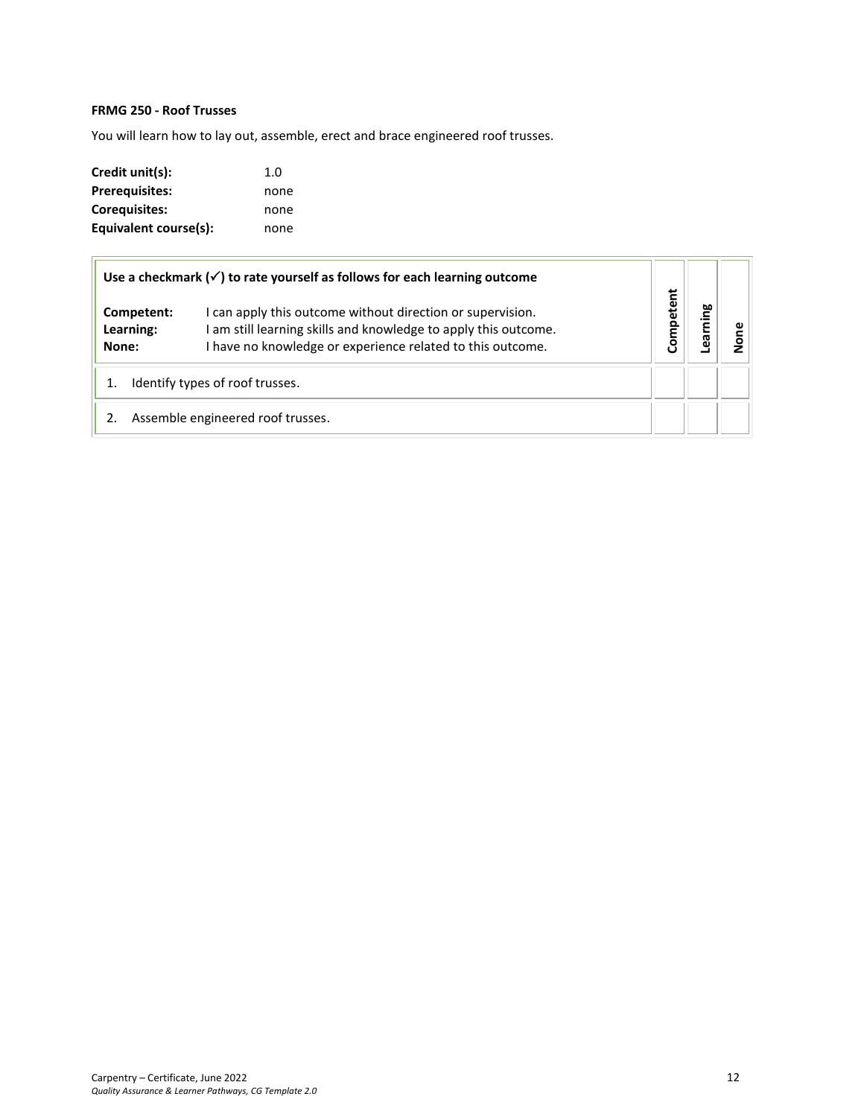# <span id="page-11-0"></span>**FRMG 250 - Roof Trusses**

You will learn how to lay out, assemble, erect and brace engineered roof trusses.

| Credit unit(s):       | 1.0  |
|-----------------------|------|
| <b>Prerequisites:</b> | none |
| Coreguisites:         | none |
| Equivalent course(s): | none |

|                                  | Use a checkmark $(\checkmark)$ to rate yourself as follows for each learning outcome                                                                                                      |           |     |   |
|----------------------------------|-------------------------------------------------------------------------------------------------------------------------------------------------------------------------------------------|-----------|-----|---|
| Competent:<br>Learning:<br>None: | I can apply this outcome without direction or supervision.<br>am still learning skills and knowledge to apply this outcome.<br>I have no knowledge or experience related to this outcome. | Competent | aui | ω |
|                                  | Identify types of roof trusses.                                                                                                                                                           |           |     |   |
|                                  | Assemble engineered roof trusses.                                                                                                                                                         |           |     |   |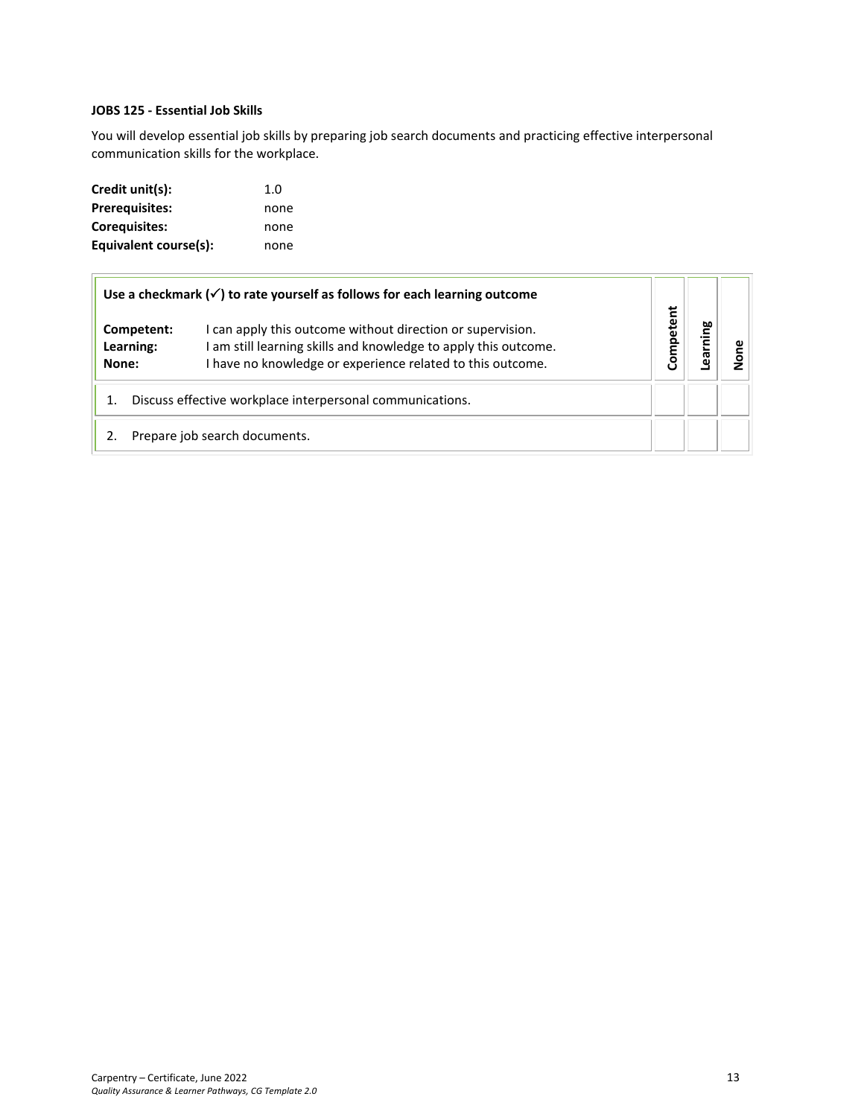#### **JOBS 125 - Essential Job Skills**

You will develop essential job skills by preparing job search documents and practicing effective interpersonal communication skills for the workplace.

| Credit unit(s):       | 1.0  |
|-----------------------|------|
| <b>Prerequisites:</b> | none |
| Corequisites:         | none |
| Equivalent course(s): | none |

|                                                                                                                                                                                                                                 | Use a checkmark $(\checkmark)$ to rate yourself as follows for each learning outcome |          |     |  |
|---------------------------------------------------------------------------------------------------------------------------------------------------------------------------------------------------------------------------------|--------------------------------------------------------------------------------------|----------|-----|--|
| I can apply this outcome without direction or supervision.<br>Competent:<br>I am still learning skills and knowledge to apply this outcome.<br>Learning:<br>I have no knowledge or experience related to this outcome.<br>None: |                                                                                      | ompetent | eg. |  |
| Discuss effective workplace interpersonal communications.                                                                                                                                                                       |                                                                                      |          |     |  |
|                                                                                                                                                                                                                                 | Prepare job search documents.                                                        |          |     |  |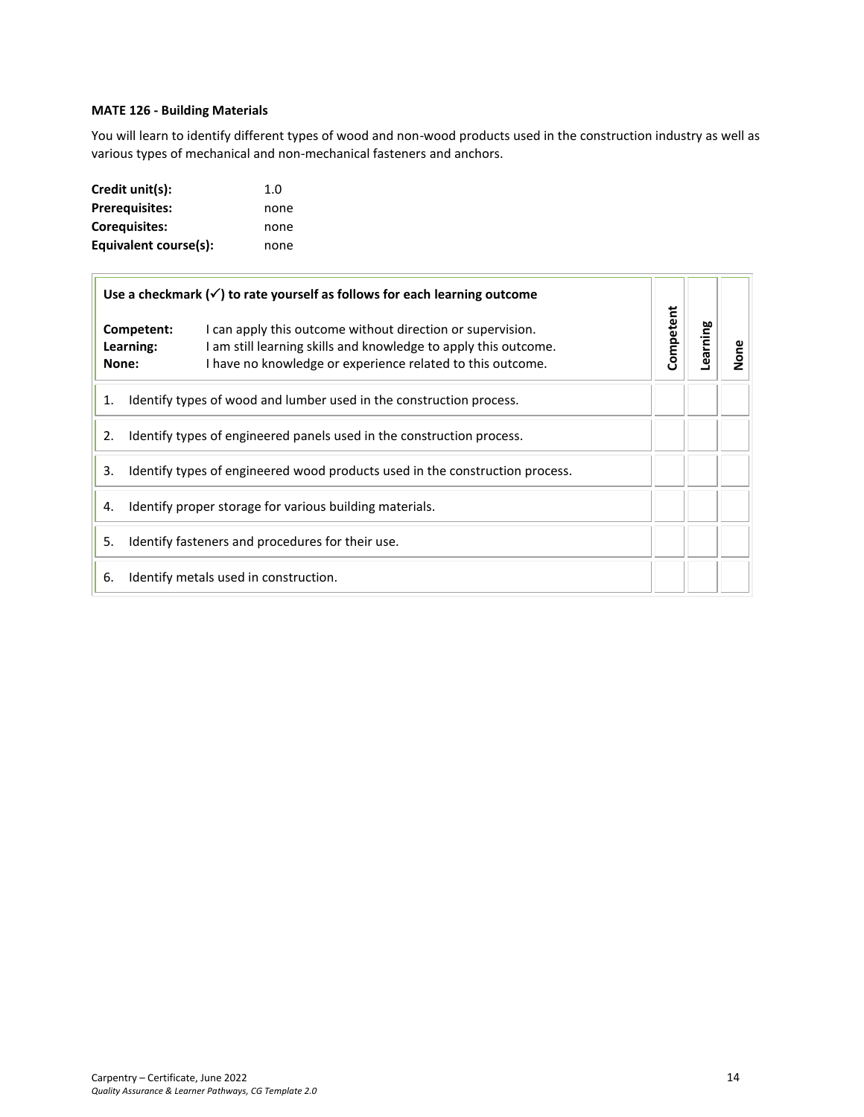#### **MATE 126 - Building Materials**

You will learn to identify different types of wood and non-wood products used in the construction industry as well as various types of mechanical and non-mechanical fasteners and anchors.

| Credit unit(s):       | 1.0  |
|-----------------------|------|
| <b>Prerequisites:</b> | none |
| Corequisites:         | none |
| Equivalent course(s): | none |

|                                                                                    | Use a checkmark $(\checkmark)$ to rate yourself as follows for each learning outcome                                                                                                                                            |  |           |         |        |
|------------------------------------------------------------------------------------|---------------------------------------------------------------------------------------------------------------------------------------------------------------------------------------------------------------------------------|--|-----------|---------|--------|
|                                                                                    | I can apply this outcome without direction or supervision.<br>Competent:<br>I am still learning skills and knowledge to apply this outcome.<br>Learning:<br>I have no knowledge or experience related to this outcome.<br>None: |  | Competent | earning | Σ<br>Σ |
| 1.                                                                                 | Identify types of wood and lumber used in the construction process.                                                                                                                                                             |  |           |         |        |
| Identify types of engineered panels used in the construction process.<br>2.        |                                                                                                                                                                                                                                 |  |           |         |        |
| 3.<br>Identify types of engineered wood products used in the construction process. |                                                                                                                                                                                                                                 |  |           |         |        |
| Identify proper storage for various building materials.<br>4.                      |                                                                                                                                                                                                                                 |  |           |         |        |
| 5.<br>Identify fasteners and procedures for their use.                             |                                                                                                                                                                                                                                 |  |           |         |        |
| 6.                                                                                 | Identify metals used in construction.                                                                                                                                                                                           |  |           |         |        |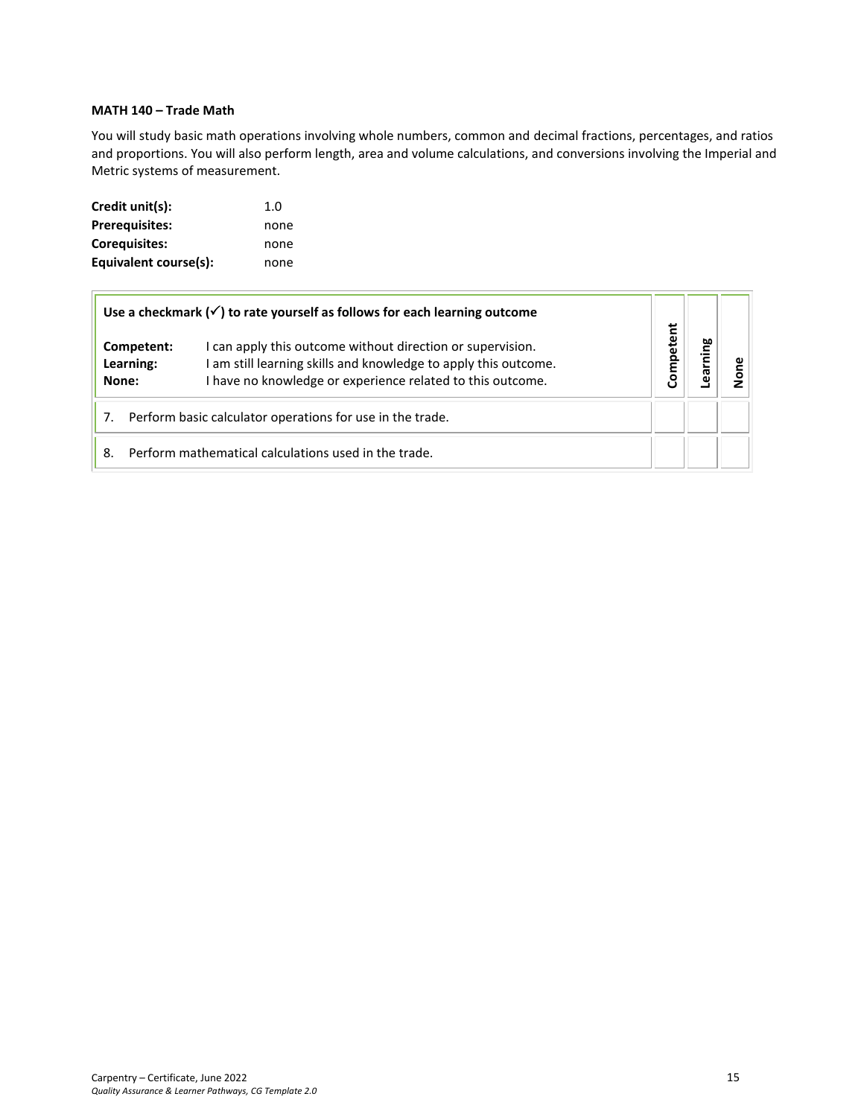#### **MATH 140 – Trade Math**

You will study basic math operations involving whole numbers, common and decimal fractions, percentages, and ratios and proportions. You will also perform length, area and volume calculations, and conversions involving the Imperial and Metric systems of measurement.

| Credit unit(s):       | 1.0  |
|-----------------------|------|
| <b>Prerequisites:</b> | none |
| Corequisites:         | none |
| Equivalent course(s): | none |

|                                  | Use a checkmark $(\checkmark)$ to rate yourself as follows for each learning outcome                                                                                                    |           |        |  |
|----------------------------------|-----------------------------------------------------------------------------------------------------------------------------------------------------------------------------------------|-----------|--------|--|
| Competent:<br>Learning:<br>None: | can apply this outcome without direction or supervision.<br>am still learning skills and knowledge to apply this outcome.<br>I have no knowledge or experience related to this outcome. | Competent | arning |  |
|                                  | Perform basic calculator operations for use in the trade.                                                                                                                               |           |        |  |
| 8.                               | Perform mathematical calculations used in the trade.                                                                                                                                    |           |        |  |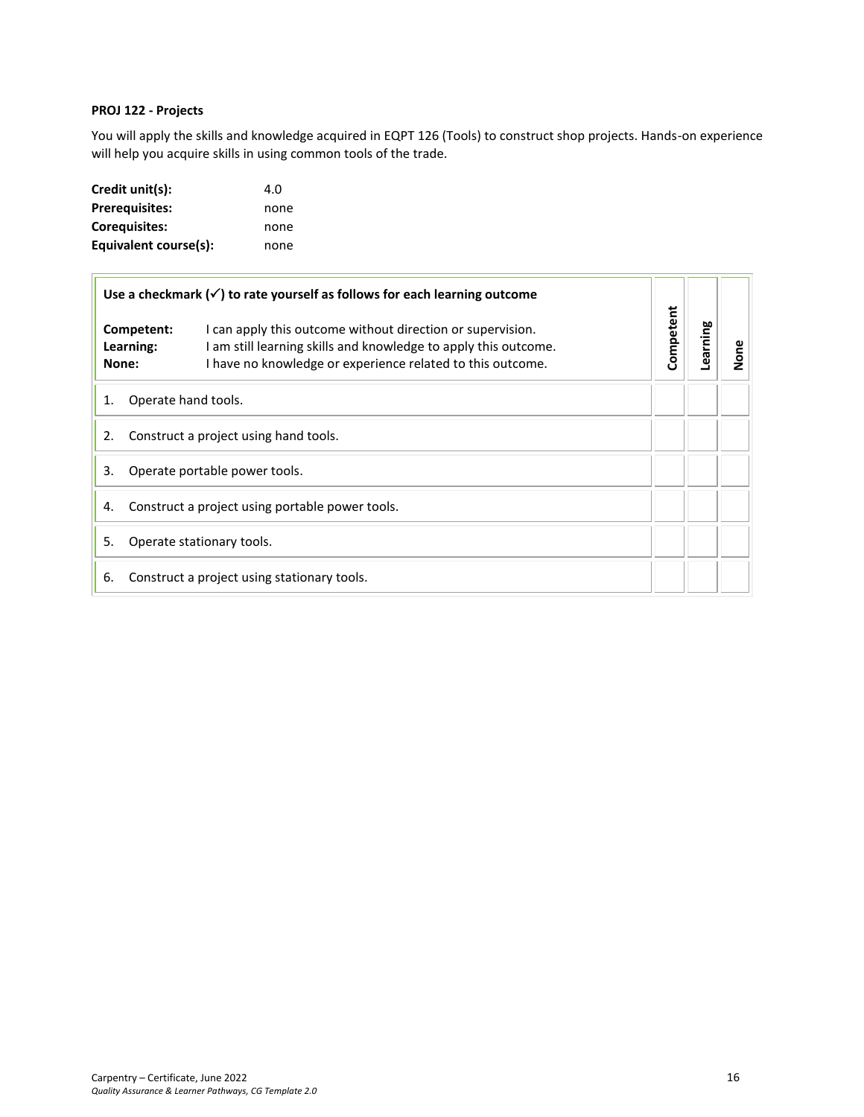#### <span id="page-15-1"></span>**PROJ 122 - Projects**

You will apply the skills and knowledge acquired in EQPT 126 (Tools) to construct shop projects. Hands-on experience will help you acquire skills in using common tools of the trade.

| Credit unit(s):       | 4.O  |
|-----------------------|------|
| <b>Prerequisites:</b> | none |
| <b>Corequisites:</b>  | none |
| Equivalent course(s): | none |

<span id="page-15-0"></span>

|                                                       |                                  | Use a checkmark $(\checkmark)$ to rate yourself as follows for each learning outcome                                                                                                        | Competent |         |      |
|-------------------------------------------------------|----------------------------------|---------------------------------------------------------------------------------------------------------------------------------------------------------------------------------------------|-----------|---------|------|
|                                                       | Competent:<br>Learning:<br>None: | I can apply this outcome without direction or supervision.<br>I am still learning skills and knowledge to apply this outcome.<br>I have no knowledge or experience related to this outcome. |           | earning | None |
| Operate hand tools.<br>1.                             |                                  |                                                                                                                                                                                             |           |         |      |
| 2.<br>Construct a project using hand tools.           |                                  |                                                                                                                                                                                             |           |         |      |
| 3.<br>Operate portable power tools.                   |                                  |                                                                                                                                                                                             |           |         |      |
| Construct a project using portable power tools.<br>4. |                                  |                                                                                                                                                                                             |           |         |      |
| 5.<br>Operate stationary tools.                       |                                  |                                                                                                                                                                                             |           |         |      |
| 6.                                                    |                                  | Construct a project using stationary tools.                                                                                                                                                 |           |         |      |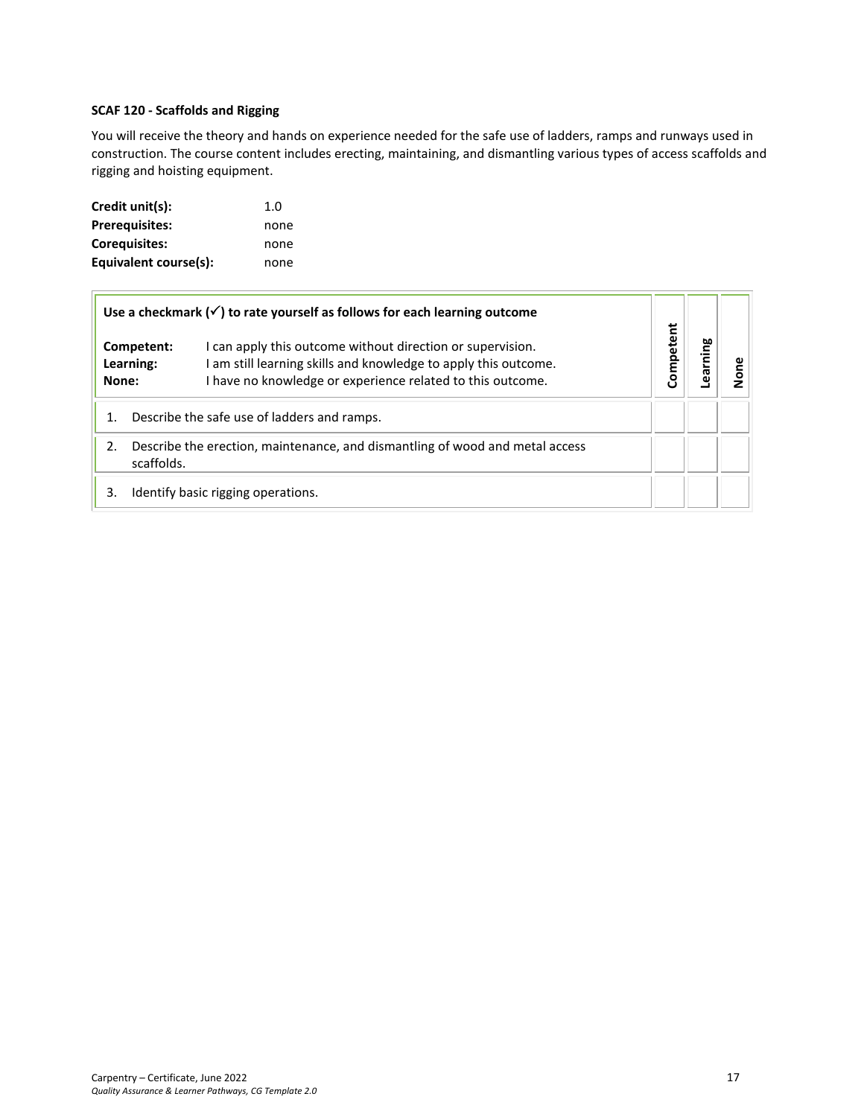### <span id="page-16-0"></span>**SCAF 120 - Scaffolds and Rigging**

You will receive the theory and hands on experience needed for the safe use of ladders, ramps and runways used in construction. The course content includes erecting, maintaining, and dismantling various types of access scaffolds and rigging and hoisting equipment.

| Credit unit(s):       | 1.0  |
|-----------------------|------|
| <b>Prerequisites:</b> | none |
| Corequisites:         | none |
| Equivalent course(s): | none |

|                                                                                                  |  | Use a checkmark $(\checkmark)$ to rate yourself as follows for each learning outcome                                                                                                        |           |         |  |
|--------------------------------------------------------------------------------------------------|--|---------------------------------------------------------------------------------------------------------------------------------------------------------------------------------------------|-----------|---------|--|
| Competent:<br>Learning:<br>None:                                                                 |  | I can apply this outcome without direction or supervision.<br>I am still learning skills and knowledge to apply this outcome.<br>I have no knowledge or experience related to this outcome. | Competent | earning |  |
| 1.                                                                                               |  | Describe the safe use of ladders and ramps.                                                                                                                                                 |           |         |  |
| Describe the erection, maintenance, and dismantling of wood and metal access<br>2.<br>scaffolds. |  |                                                                                                                                                                                             |           |         |  |
| 3.                                                                                               |  | Identify basic rigging operations.                                                                                                                                                          |           |         |  |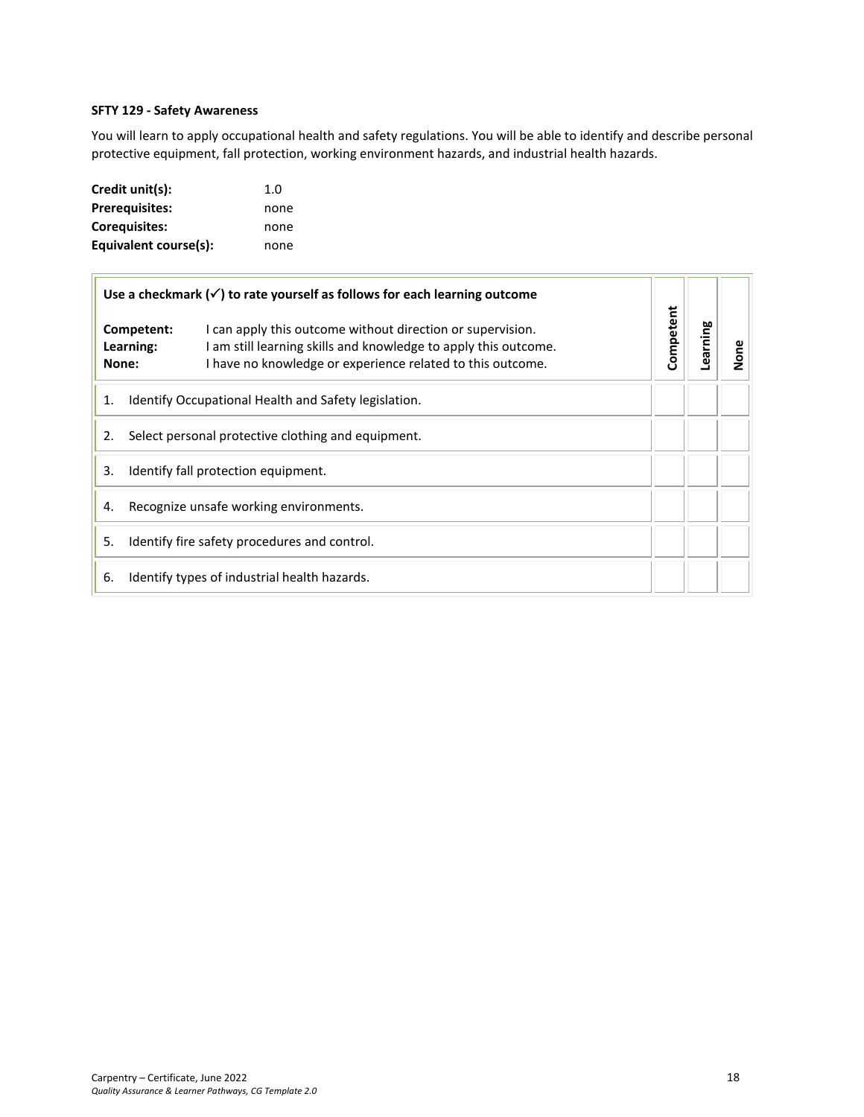#### **SFTY 129 - Safety Awareness**

You will learn to apply occupational health and safety regulations. You will be able to identify and describe personal protective equipment, fall protection, working environment hazards, and industrial health hazards.

| Credit unit(s):       | 1.0  |
|-----------------------|------|
| <b>Prerequisites:</b> | none |
| Corequisites:         | none |
| Equivalent course(s): | none |

|                                                            | Use a checkmark $(\checkmark)$ to rate yourself as follows for each learning outcome                                                                                                                                            |           |  |         |      |
|------------------------------------------------------------|---------------------------------------------------------------------------------------------------------------------------------------------------------------------------------------------------------------------------------|-----------|--|---------|------|
|                                                            | I can apply this outcome without direction or supervision.<br>Competent:<br>I am still learning skills and knowledge to apply this outcome.<br>Learning:<br>I have no knowledge or experience related to this outcome.<br>None: | Competent |  | earning | None |
| Identify Occupational Health and Safety legislation.<br>1. |                                                                                                                                                                                                                                 |           |  |         |      |
| Select personal protective clothing and equipment.<br>2.   |                                                                                                                                                                                                                                 |           |  |         |      |
| 3.<br>Identify fall protection equipment.                  |                                                                                                                                                                                                                                 |           |  |         |      |
| Recognize unsafe working environments.<br>4.               |                                                                                                                                                                                                                                 |           |  |         |      |
| 5.<br>Identify fire safety procedures and control.         |                                                                                                                                                                                                                                 |           |  |         |      |
| 6.                                                         | Identify types of industrial health hazards.                                                                                                                                                                                    |           |  |         |      |